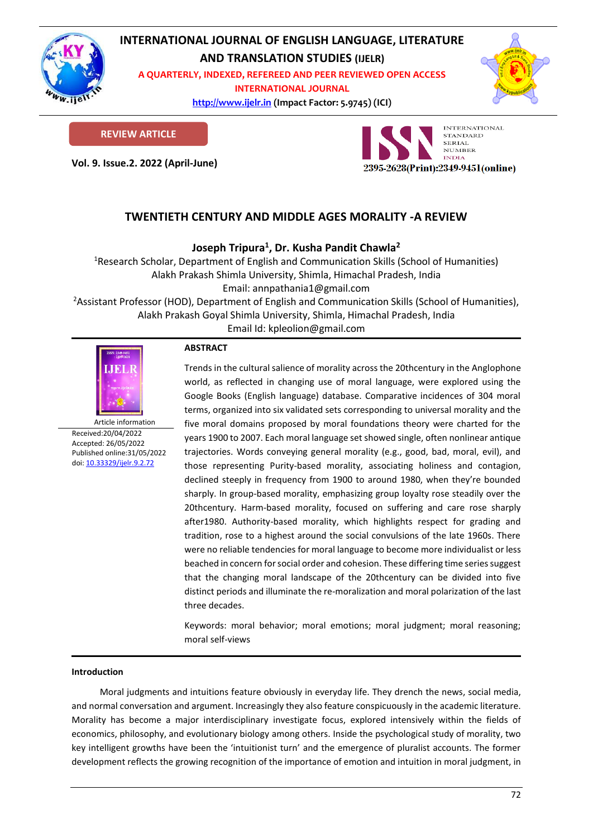

# **INTERNATIONAL JOURNAL OF ENGLISH LANGUAGE, LITERATURE**

**AND TRANSLATION STUDIES (IJELR)**

**A QUARTERLY, INDEXED, REFEREED AND PEER REVIEWED OPEN ACCESS INTERNATIONAL JOURNAL**

> **[http://www.ijelr.in](http://www.ijelr.in/) (Impact Factor: 5.9745) (ICI) KY PUBLICATIONS**



**REVIEW ARTICLE**

**Vol. 9. Issue.2. 2022 (April-June) ARTICLE**



# **TWENTIETH CENTURY AND MIDDLE AGES MORALITY -A REVIEW**

**Joseph Tripura<sup>1</sup> , Dr. Kusha Pandit Chawla<sup>2</sup>**

<sup>1</sup>Research Scholar, Department of English and Communication Skills (School of Humanities) Alakh Prakash Shimla University, Shimla, Himachal Pradesh, India Email: annpathania1@gmail.com

<sup>2</sup>Assistant Professor (HOD), Department of English and Communication Skills (School of Humanities), Alakh Prakash Goyal Shimla University, Shimla, Himachal Pradesh, India

Email Id: kpleolion@gmail.com



Article information Received:20/04/2022 Accepted: 26/05/2022 Published online:31/05/2022 [doi: 10.33329/ijelr.9.2.7](http://www.ijelr.in/)2

## **ABSTRACT**

Trends in the cultural salience of morality across the 20thcentury in the Anglophone world, as reflected in changing use of moral language, were explored using the Google Books (English language) database. Comparative incidences of 304 moral terms, organized into six validated sets corresponding to universal morality and the five moral domains proposed by moral foundations theory were charted for the years 1900 to 2007. Each moral language set showed single, often nonlinear antique trajectories. Words conveying general morality (e.g., good, bad, moral, evil), and those representing Purity-based morality, associating holiness and contagion, declined steeply in frequency from 1900 to around 1980, when they're bounded sharply. In group-based morality, emphasizing group loyalty rose steadily over the 20thcentury. Harm-based morality, focused on suffering and care rose sharply after1980. Authority-based morality, which highlights respect for grading and tradition, rose to a highest around the social convulsions of the late 1960s. There were no reliable tendencies for moral language to become more individualist or less beached in concern for social order and cohesion. These differing time series suggest that the changing moral landscape of the 20thcentury can be divided into five distinct periods and illuminate the re-moralization and moral polarization of the last three decades.

Keywords: moral behavior; moral emotions; moral judgment; moral reasoning; moral self-views

## **Introduction**

Moral judgments and intuitions feature obviously in everyday life. They drench the news, social media, and normal conversation and argument. Increasingly they also feature conspicuously in the academic literature. Morality has become a major interdisciplinary investigate focus, explored intensively within the fields of economics, philosophy, and evolutionary biology among others. Inside the psychological study of morality, two key intelligent growths have been the 'intuitionist turn' and the emergence of pluralist accounts. The former development reflects the growing recognition of the importance of emotion and intuition in moral judgment, in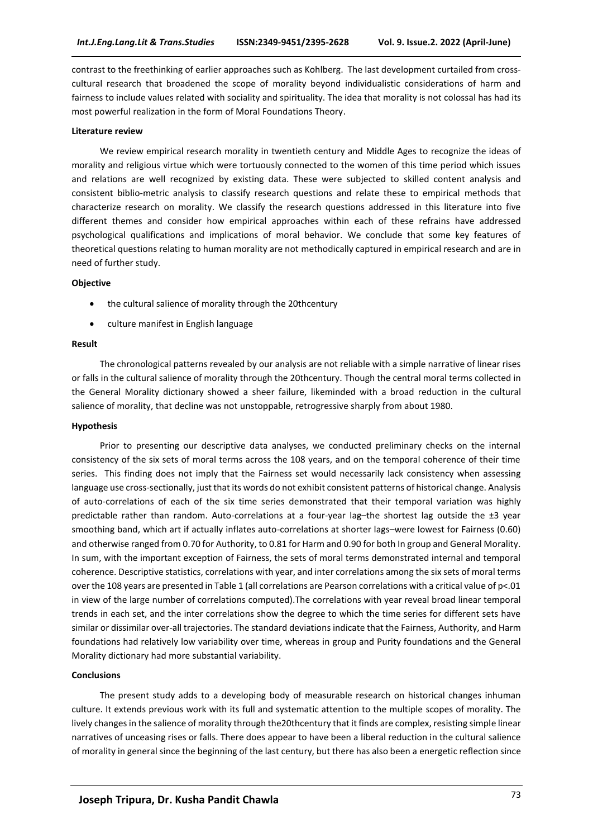contrast to the freethinking of earlier approaches such as Kohlberg. The last development curtailed from crosscultural research that broadened the scope of morality beyond individualistic considerations of harm and fairness to include values related with sociality and spirituality. The idea that morality is not colossal has had its most powerful realization in the form of Moral Foundations Theory.

#### **Literature review**

We review empirical research morality in twentieth century and Middle Ages to recognize the ideas of morality and religious virtue which were tortuously connected to the women of this time period which issues and relations are well recognized by existing data. These were subjected to skilled content analysis and consistent biblio-metric analysis to classify research questions and relate these to empirical methods that characterize research on morality. We classify the research questions addressed in this literature into five different themes and consider how empirical approaches within each of these refrains have addressed psychological qualifications and implications of moral behavior. We conclude that some key features of theoretical questions relating to human morality are not methodically captured in empirical research and are in need of further study.

#### **Objective**

- the cultural salience of morality through the 20thcentury
- culture manifest in English language

#### **Result**

The chronological patterns revealed by our analysis are not reliable with a simple narrative of linear rises or falls in the cultural salience of morality through the 20thcentury. Though the central moral terms collected in the General Morality dictionary showed a sheer failure, likeminded with a broad reduction in the cultural salience of morality, that decline was not unstoppable, retrogressive sharply from about 1980.

#### **Hypothesis**

Prior to presenting our descriptive data analyses, we conducted preliminary checks on the internal consistency of the six sets of moral terms across the 108 years, and on the temporal coherence of their time series. This finding does not imply that the Fairness set would necessarily lack consistency when assessing language use cross-sectionally, just that its words do not exhibit consistent patterns of historical change. Analysis of auto-correlations of each of the six time series demonstrated that their temporal variation was highly predictable rather than random. Auto-correlations at a four-year lag–the shortest lag outside the ±3 year smoothing band, which art if actually inflates auto-correlations at shorter lags–were lowest for Fairness (0.60) and otherwise ranged from 0.70 for Authority, to 0.81 for Harm and 0.90 for both In group and General Morality. In sum, with the important exception of Fairness, the sets of moral terms demonstrated internal and temporal coherence. Descriptive statistics, correlations with year, and inter correlations among the six sets of moral terms over the 108 years are presented in Table 1 (all correlations are Pearson correlations with a critical value of p<.01 in view of the large number of correlations computed).The correlations with year reveal broad linear temporal trends in each set, and the inter correlations show the degree to which the time series for different sets have similar or dissimilar over-all trajectories. The standard deviations indicate that the Fairness, Authority, and Harm foundations had relatively low variability over time, whereas in group and Purity foundations and the General Morality dictionary had more substantial variability.

#### **Conclusions**

The present study adds to a developing body of measurable research on historical changes inhuman culture. It extends previous work with its full and systematic attention to the multiple scopes of morality. The lively changes in the salience of morality through the20thcentury that it finds are complex, resisting simple linear narratives of unceasing rises or falls. There does appear to have been a liberal reduction in the cultural salience of morality in general since the beginning of the last century, but there has also been a energetic reflection since